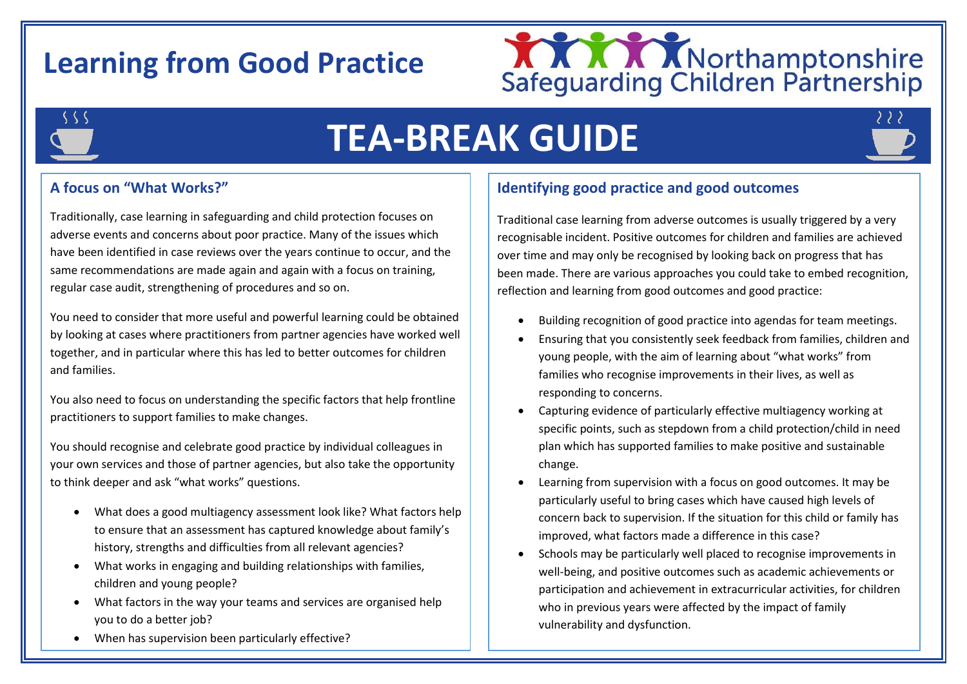# **Learning from Good Practice**





i<br>I

# **TEA-BREAK GUIDE**



## **A focus on "What Works?"**

Traditionally, case learning in safeguarding and child protection focuses on adverse events and concerns about poor practice. Many of the issues which have been identified in case reviews over the years continue to occur, and the same recommendations are made again and again with a focus on training, regular case audit, strengthening of procedures and so on.

You need to consider that more useful and powerful learning could be obtained by looking at cases where practitioners from partner agencies have worked well together, and in particular where this has led to better outcomes for children and families.

You also need to focus on understanding the specific factors that help frontline practitioners to support families to make changes.

You should recognise and celebrate good practice by individual colleagues in your own services and those of partner agencies, but also take the opportunity to think deeper and ask "what works" questions.

- What does a good multiagency assessment look like? What factors help to ensure that an assessment has captured knowledge about family's history, strengths and difficulties from all relevant agencies?
- What works in engaging and building relationships with families, children and young people?
- What factors in the way your teams and services are organised help you to do a better job?
- When has supervision been particularly effective?

# **Identifying good practice and good outcomes**

Traditional case learning from adverse outcomes is usually triggered by a very recognisable incident. Positive outcomes for children and families are achieved over time and may only be recognised by looking back on progress that has been made. There are various approaches you could take to embed recognition, reflection and learning from good outcomes and good practice:

- Building recognition of good practice into agendas for team meetings.
- Ensuring that you consistently seek feedback from families, children and young people, with the aim of learning about "what works" from families who recognise improvements in their lives, as well as responding to concerns.
- Capturing evidence of particularly effective multiagency working at specific points, such as stepdown from a child protection/child in need plan which has supported families to make positive and sustainable change.
- Learning from supervision with a focus on good outcomes. It may be particularly useful to bring cases which have caused high levels of concern back to supervision. If the situation for this child or family has improved, what factors made a difference in this case?
- Schools may be particularly well placed to recognise improvements in well-being, and positive outcomes such as academic achievements or participation and achievement in extracurricular activities, for children who in previous years were affected by the impact of family vulnerability and dysfunction.